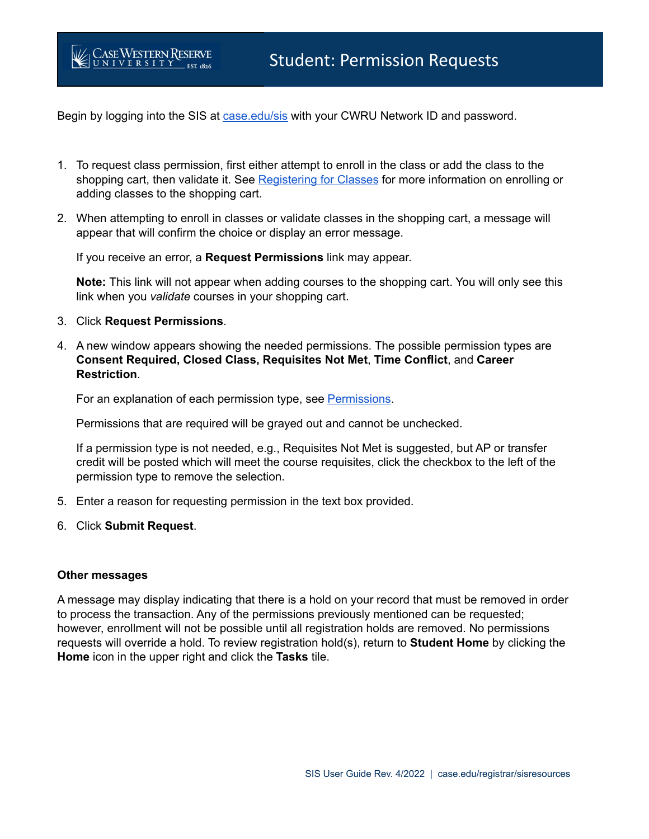Begin by logging into the SIS at **[case.edu/sis](http://case.edu/sis)** with your CWRU Network ID and password.

- 1. To request class permission, first either attempt to enroll in the class or add the class to the shopping cart, then validate it. See [Registering for](https://case.edu/registrar/general/sis-resources/registering-classes) Classes for more information on enrolling or adding classes to the shopping cart.
- 2. When attempting to enroll in classes or validate classes in the shopping cart, a message will appear that will confirm the choice or display an error message.

If you receive an error, a **Request Permissions** link may appear.

**Note:** This link will not appear when adding courses to the shopping cart. You will only see this link when you *validate* courses in your shopping cart.

3. Click **Request Permissions**.

**CASE WESTERN RESERVE** 

4. A new window appears showing the needed permissions. The possible permission types are **Consent Required, Closed Class, Requisites Not Met**, **Time Conflict**, and **Career Restriction**.

For an explanation of each permission type, see [Permissions.](https://case.edu/registrar/registration-classes/registration-information/permissions)

Permissions that are required will be grayed out and cannot be unchecked.

If a permission type is not needed, e.g., Requisites Not Met is suggested, but AP or transfer credit will be posted which will meet the course requisites, click the checkbox to the left of the permission type to remove the selection.

- 5. Enter a reason for requesting permission in the text box provided.
- 6. Click **Submit Request**.

## **Other messages**

A message may display indicating that there is a hold on your record that must be removed in order to process the transaction. Any of the permissions previously mentioned can be requested; however, enrollment will not be possible until all registration holds are removed. No permissions requests will override a hold. To review registration hold(s), return to **Student Home** by clicking the **Home** icon in the upper right and click the **Tasks** tile.